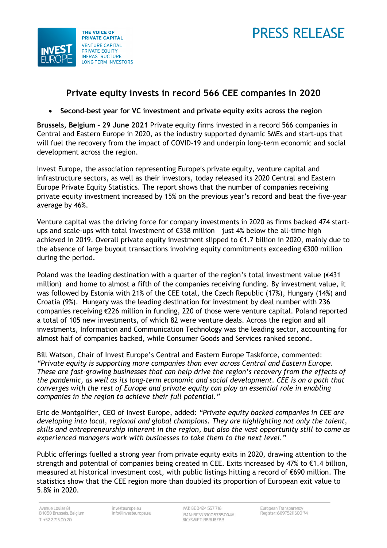



# **Private equity invests in record 566 CEE companies in 2020**

# • **Second-best year for VC investment and private equity exits across the region**

**Brussels, Belgium – 29 June 2021** Private equity firms invested in a record 566 companies in Central and Eastern Europe in 2020, as the industry supported dynamic SMEs and start-ups that will fuel the recovery from the impact of COVID-19 and underpin long-term economic and social development across the region.

Invest Europe, the association representing Europe's private equity, venture capital and infrastructure sectors, as well as their investors, today released its 2020 Central and Eastern Europe Private Equity Statistics. The report shows that the number of companies receiving private equity investment increased by 15% on the previous year's record and beat the five-year average by 46%.

Venture capital was the driving force for company investments in 2020 as firms backed 474 startups and scale-ups with total investment of €358 million – just 4% below the all-time high achieved in 2019. Overall private equity investment slipped to €1.7 billion in 2020, mainly due to the absence of large buyout transactions involving equity commitments exceeding €300 million during the period.

Poland was the leading destination with a quarter of the region's total investment value  $(\epsilon 431)$ million) and home to almost a fifth of the companies receiving funding. By investment value, it was followed by Estonia with 21% of the CEE total, the Czech Republic (17%), Hungary (14%) and Croatia (9%). Hungary was the leading destination for investment by deal number with 236 companies receiving €226 million in funding, 220 of those were venture capital. Poland reported a total of 105 new investments, of which 82 were venture deals. Across the region and all investments, Information and Communication Technology was the leading sector, accounting for almost half of companies backed, while Consumer Goods and Services ranked second.

Bill Watson, Chair of Invest Europe's Central and Eastern Europe Taskforce, commented: *"Private equity is supporting more companies than ever across Central and Eastern Europe. These are fast-growing businesses that can help drive the region's recovery from the effects of the pandemic, as well as its long-term economic and social development. CEE is on a path that converges with the rest of Europe and private equity can play an essential role in enabling companies in the region to achieve their full potential."*

Eric de Montgolfier, CEO of Invest Europe, added: *"Private equity backed companies in CEE are developing into local, regional and global champions. They are highlighting not only the talent, skills and entrepreneurship inherent in the region, but also the vast opportunity still to come as experienced managers work with businesses to take them to the next level."*

Public offerings fuelled a strong year from private equity exits in 2020, drawing attention to the strength and potential of companies being created in CEE. Exits increased by 47% to €1.4 billion, measured at historical investment cost, with public listings hitting a record of €690 million. The statistics show that the CEE region more than doubled its proportion of European exit value to 5.8% in 2020.